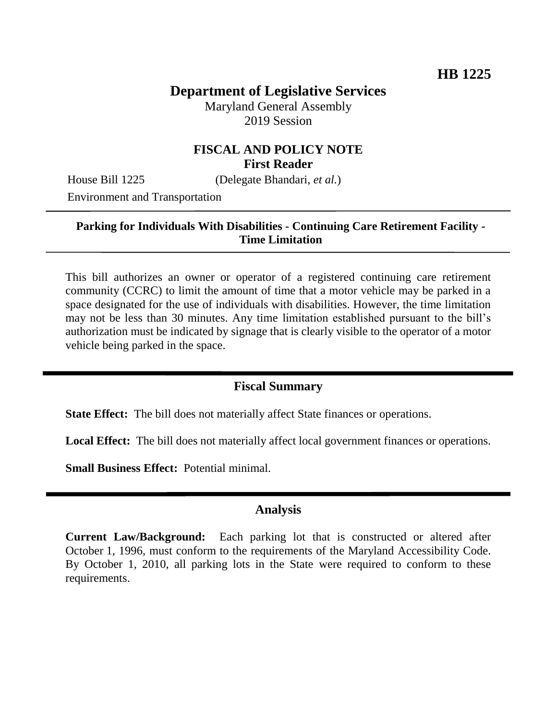# **Department of Legislative Services**

Maryland General Assembly 2019 Session

## **FISCAL AND POLICY NOTE First Reader**

House Bill 1225 (Delegate Bhandari, *et al.*)

Environment and Transportation

## **Parking for Individuals With Disabilities - Continuing Care Retirement Facility - Time Limitation**

This bill authorizes an owner or operator of a registered continuing care retirement community (CCRC) to limit the amount of time that a motor vehicle may be parked in a space designated for the use of individuals with disabilities. However, the time limitation may not be less than 30 minutes. Any time limitation established pursuant to the bill's authorization must be indicated by signage that is clearly visible to the operator of a motor vehicle being parked in the space.

#### **Fiscal Summary**

**State Effect:** The bill does not materially affect State finances or operations.

**Local Effect:** The bill does not materially affect local government finances or operations.

**Small Business Effect:** Potential minimal.

#### **Analysis**

**Current Law/Background:** Each parking lot that is constructed or altered after October 1, 1996, must conform to the requirements of the Maryland Accessibility Code. By October 1, 2010, all parking lots in the State were required to conform to these requirements.